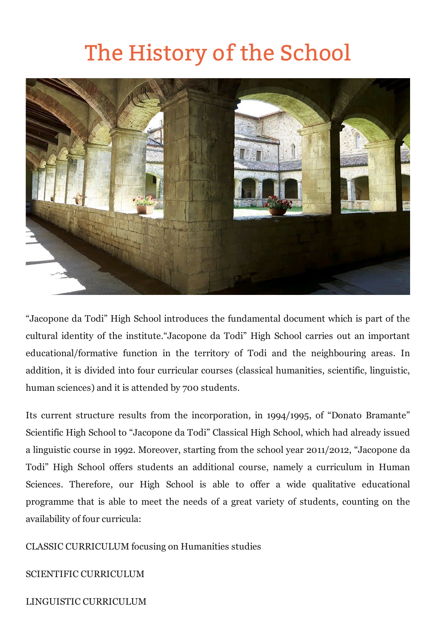## The History of the School



"Jacopone da Todi" High School introduces the fundamental document which is part of the cultural identity of the institute."Jacopone da Todi" High School carries out an important educational/formative function in the territory of Todi and the neighbouring areas. In addition, it is divided into four curricular courses (classical humanities, scientific, linguistic, human sciences) and it is attended by 700 students.

Its current structure results from the incorporation, in 1994/1995, of "Donato Bramante" Scientific High School to "Jacopone da Todi" Classical High School, which had already issued a linguistic course in 1992. Moreover, starting from the school year 2011/2012, "Jacopone da Todi" High School offers students an additional course, namely a curriculum in Human Sciences. Therefore, our High School is able to offer a wide qualitative educational programme that is able to meet the needs of a great variety of students, counting on the availability of four curricula:

CLASSIC CURRICULUM focusing on Humanities studies

SCIENTIFIC CURRICULUM

LINGUISTIC CURRICULUM